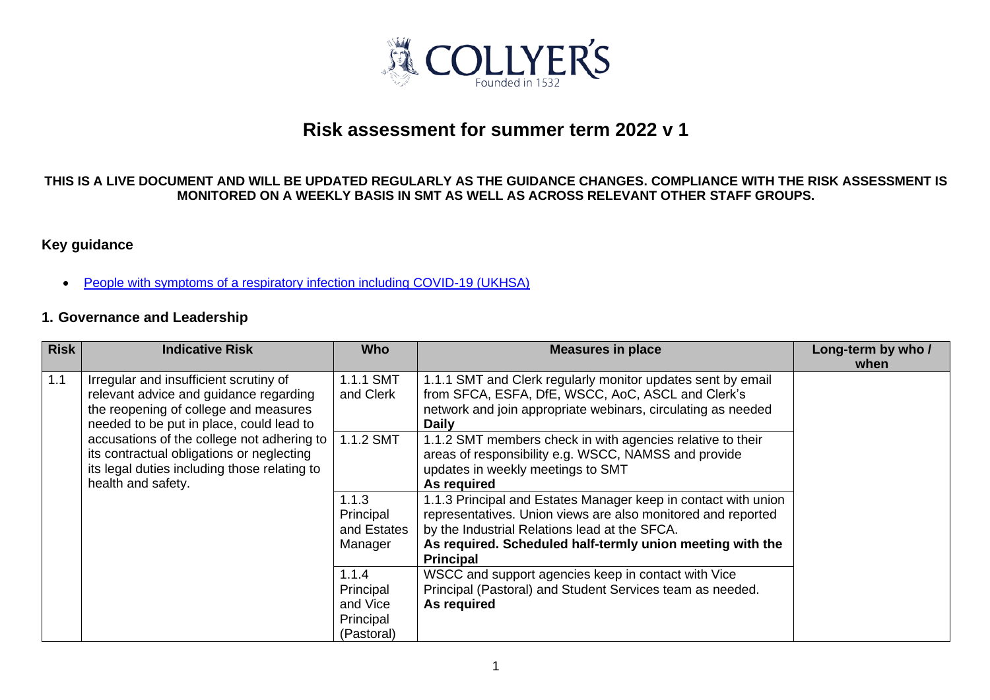

# **Risk assessment for summer term 2022 v 1**

#### **THIS IS A LIVE DOCUMENT AND WILL BE UPDATED REGULARLY AS THE GUIDANCE CHANGES. COMPLIANCE WITH THE RISK ASSESSMENT IS MONITORED ON A WEEKLY BASIS IN SMT AS WELL AS ACROSS RELEVANT OTHER STAFF GROUPS.**

### **Key guidance**

• [People with symptoms of a respiratory infection including COVID-19](https://www.gov.uk/guidance/people-with-symptoms-of-a-respiratory-infection-including-covid-19) (UKHSA)

#### **1. Governance and Leadership**

| <b>Risk</b> | <b>Indicative Risk</b>                                                                                                                                                                                                                                                                                                                   | <b>Who</b>                                                | <b>Measures in place</b>                                                                                                                                                                                                                                         | Long-term by who /<br>when |
|-------------|------------------------------------------------------------------------------------------------------------------------------------------------------------------------------------------------------------------------------------------------------------------------------------------------------------------------------------------|-----------------------------------------------------------|------------------------------------------------------------------------------------------------------------------------------------------------------------------------------------------------------------------------------------------------------------------|----------------------------|
| 1.1         | Irregular and insufficient scrutiny of<br>relevant advice and guidance regarding<br>the reopening of college and measures<br>needed to be put in place, could lead to<br>accusations of the college not adhering to  <br>its contractual obligations or neglecting<br>its legal duties including those relating to<br>health and safety. | 1.1.1 SMT<br>and Clerk                                    | 1.1.1 SMT and Clerk regularly monitor updates sent by email<br>from SFCA, ESFA, DfE, WSCC, AoC, ASCL and Clerk's<br>network and join appropriate webinars, circulating as needed<br><b>Daily</b>                                                                 |                            |
|             |                                                                                                                                                                                                                                                                                                                                          | 1.1.2 SMT                                                 | 1.1.2 SMT members check in with agencies relative to their<br>areas of responsibility e.g. WSCC, NAMSS and provide<br>updates in weekly meetings to SMT<br>As required                                                                                           |                            |
|             |                                                                                                                                                                                                                                                                                                                                          | 1.1.3<br>Principal<br>and Estates<br>Manager              | 1.1.3 Principal and Estates Manager keep in contact with union<br>representatives. Union views are also monitored and reported<br>by the Industrial Relations lead at the SFCA.<br>As required. Scheduled half-termly union meeting with the<br><b>Principal</b> |                            |
|             |                                                                                                                                                                                                                                                                                                                                          | 1.1.4<br>Principal<br>and Vice<br>Principal<br>(Pastoral) | WSCC and support agencies keep in contact with Vice<br>Principal (Pastoral) and Student Services team as needed.<br>As required                                                                                                                                  |                            |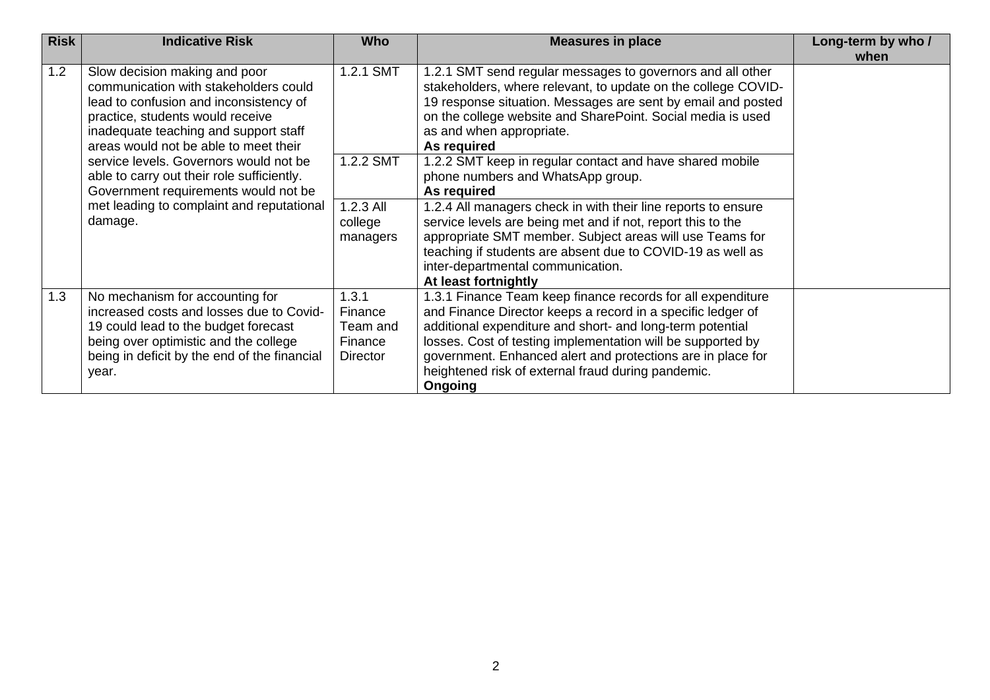| <b>Risk</b> | <b>Indicative Risk</b>                       | <b>Who</b>      | <b>Measures in place</b>                                      | Long-term by who / |
|-------------|----------------------------------------------|-----------------|---------------------------------------------------------------|--------------------|
|             |                                              |                 |                                                               | when               |
| 1.2         | Slow decision making and poor                | 1.2.1 SMT       | 1.2.1 SMT send regular messages to governors and all other    |                    |
|             | communication with stakeholders could        |                 | stakeholders, where relevant, to update on the college COVID- |                    |
|             | lead to confusion and inconsistency of       |                 | 19 response situation. Messages are sent by email and posted  |                    |
|             | practice, students would receive             |                 | on the college website and SharePoint. Social media is used   |                    |
|             | inadequate teaching and support staff        |                 | as and when appropriate.                                      |                    |
|             | areas would not be able to meet their        |                 | As required                                                   |                    |
|             | service levels. Governors would not be       | 1.2.2 SMT       | 1.2.2 SMT keep in regular contact and have shared mobile      |                    |
|             | able to carry out their role sufficiently.   |                 | phone numbers and WhatsApp group.                             |                    |
|             | Government requirements would not be         |                 | As required                                                   |                    |
|             | met leading to complaint and reputational    | 1.2.3 All       | 1.2.4 All managers check in with their line reports to ensure |                    |
|             | damage.                                      | college         | service levels are being met and if not, report this to the   |                    |
|             |                                              | managers        | appropriate SMT member. Subject areas will use Teams for      |                    |
|             |                                              |                 | teaching if students are absent due to COVID-19 as well as    |                    |
|             |                                              |                 | inter-departmental communication.                             |                    |
|             |                                              |                 | At least fortnightly                                          |                    |
| 1.3         | No mechanism for accounting for              | 1.3.1           | 1.3.1 Finance Team keep finance records for all expenditure   |                    |
|             | increased costs and losses due to Covid-     | Finance         | and Finance Director keeps a record in a specific ledger of   |                    |
|             | 19 could lead to the budget forecast         | Team and        | additional expenditure and short- and long-term potential     |                    |
|             | being over optimistic and the college        | Finance         | losses. Cost of testing implementation will be supported by   |                    |
|             | being in deficit by the end of the financial | <b>Director</b> | government. Enhanced alert and protections are in place for   |                    |
|             | year.                                        |                 | heightened risk of external fraud during pandemic.            |                    |
|             |                                              |                 | Ongoing                                                       |                    |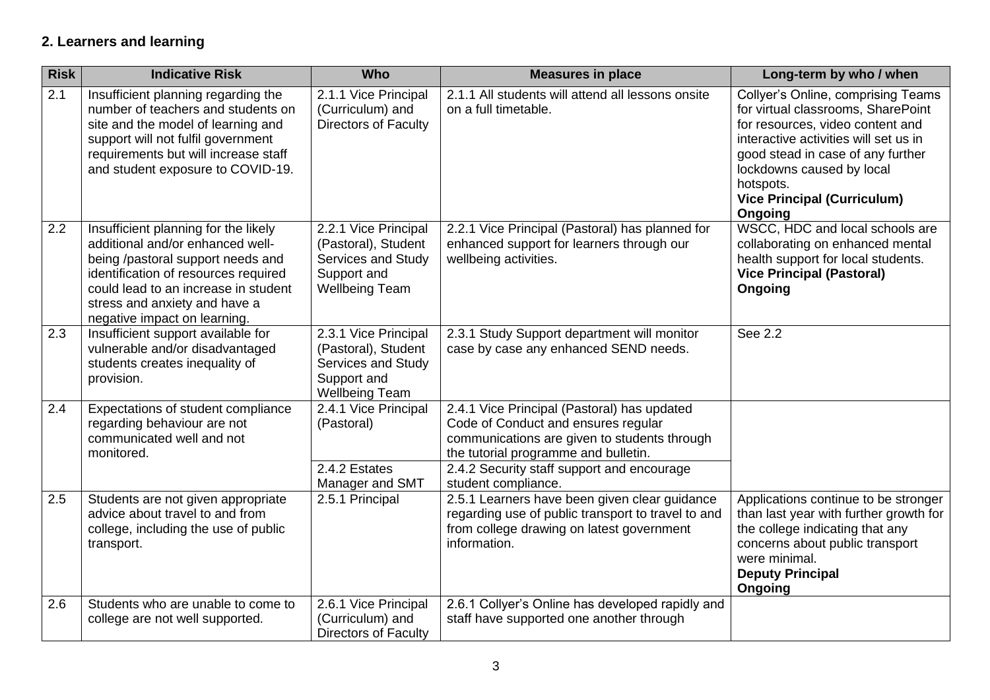### **2. Learners and learning**

| <b>Risk</b> | <b>Indicative Risk</b>                                                                                                                                                                                                                                         | <b>Who</b>                                                                                                | <b>Measures in place</b>                                                                                                                                                                                                                        | Long-term by who / when                                                                                                                                                                                                                                                               |
|-------------|----------------------------------------------------------------------------------------------------------------------------------------------------------------------------------------------------------------------------------------------------------------|-----------------------------------------------------------------------------------------------------------|-------------------------------------------------------------------------------------------------------------------------------------------------------------------------------------------------------------------------------------------------|---------------------------------------------------------------------------------------------------------------------------------------------------------------------------------------------------------------------------------------------------------------------------------------|
| 2.1         | Insufficient planning regarding the<br>number of teachers and students on<br>site and the model of learning and<br>support will not fulfil government<br>requirements but will increase staff<br>and student exposure to COVID-19.                             | 2.1.1 Vice Principal<br>(Curriculum) and<br><b>Directors of Faculty</b>                                   | 2.1.1 All students will attend all lessons onsite<br>on a full timetable.                                                                                                                                                                       | Collyer's Online, comprising Teams<br>for virtual classrooms, SharePoint<br>for resources, video content and<br>interactive activities will set us in<br>good stead in case of any further<br>lockdowns caused by local<br>hotspots.<br><b>Vice Principal (Curriculum)</b><br>Ongoing |
| 2.2         | Insufficient planning for the likely<br>additional and/or enhanced well-<br>being /pastoral support needs and<br>identification of resources required<br>could lead to an increase in student<br>stress and anxiety and have a<br>negative impact on learning. | 2.2.1 Vice Principal<br>(Pastoral), Student<br>Services and Study<br>Support and<br><b>Wellbeing Team</b> | 2.2.1 Vice Principal (Pastoral) has planned for<br>enhanced support for learners through our<br>wellbeing activities.                                                                                                                           | WSCC, HDC and local schools are<br>collaborating on enhanced mental<br>health support for local students.<br><b>Vice Principal (Pastoral)</b><br>Ongoing                                                                                                                              |
| 2.3         | Insufficient support available for<br>vulnerable and/or disadvantaged<br>students creates inequality of<br>provision.                                                                                                                                          | 2.3.1 Vice Principal<br>(Pastoral), Student<br>Services and Study<br>Support and<br><b>Wellbeing Team</b> | 2.3.1 Study Support department will monitor<br>case by case any enhanced SEND needs.                                                                                                                                                            | See 2.2                                                                                                                                                                                                                                                                               |
| 2.4         | Expectations of student compliance<br>regarding behaviour are not<br>communicated well and not<br>monitored.                                                                                                                                                   | 2.4.1 Vice Principal<br>(Pastoral)<br>2.4.2 Estates<br>Manager and SMT                                    | 2.4.1 Vice Principal (Pastoral) has updated<br>Code of Conduct and ensures regular<br>communications are given to students through<br>the tutorial programme and bulletin.<br>2.4.2 Security staff support and encourage<br>student compliance. |                                                                                                                                                                                                                                                                                       |
| 2.5         | Students are not given appropriate<br>advice about travel to and from<br>college, including the use of public<br>transport.                                                                                                                                    | 2.5.1 Principal                                                                                           | 2.5.1 Learners have been given clear guidance<br>regarding use of public transport to travel to and<br>from college drawing on latest government<br>information.                                                                                | Applications continue to be stronger<br>than last year with further growth for<br>the college indicating that any<br>concerns about public transport<br>were minimal.<br><b>Deputy Principal</b><br>Ongoing                                                                           |
| 2.6         | Students who are unable to come to<br>college are not well supported.                                                                                                                                                                                          | 2.6.1 Vice Principal<br>(Curriculum) and<br><b>Directors of Faculty</b>                                   | 2.6.1 Collyer's Online has developed rapidly and<br>staff have supported one another through                                                                                                                                                    |                                                                                                                                                                                                                                                                                       |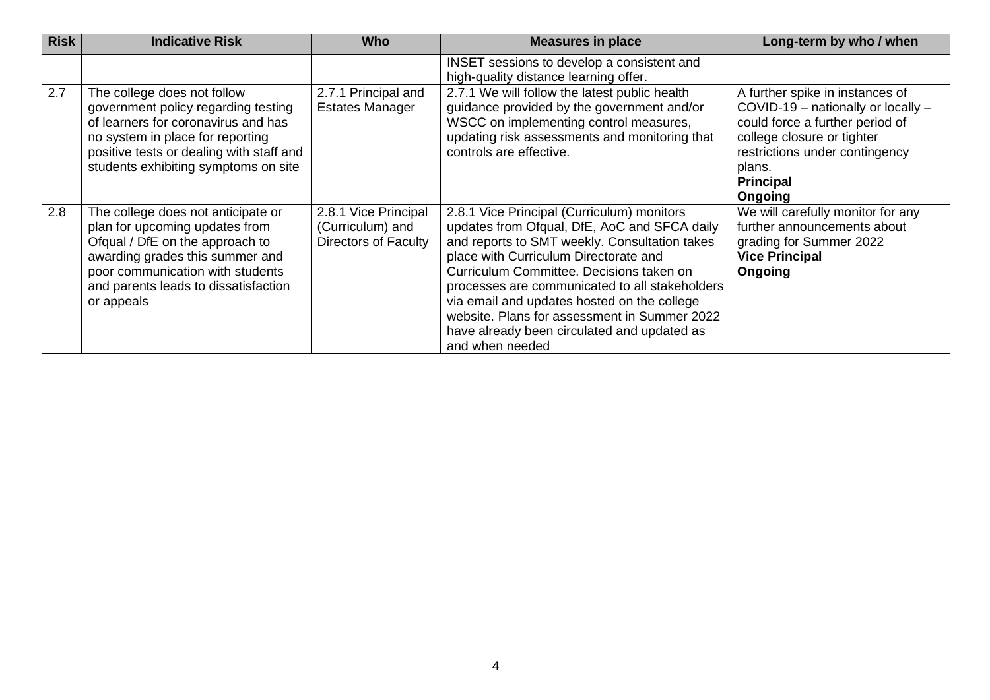| <b>Risk</b> | <b>Indicative Risk</b>                                                                                                                                                                                                               | <b>Who</b>                                                              | <b>Measures in place</b>                                                                                                                                                                                                                                                                                                                                                                                                                            | Long-term by who / when                                                                                                                                                                                           |
|-------------|--------------------------------------------------------------------------------------------------------------------------------------------------------------------------------------------------------------------------------------|-------------------------------------------------------------------------|-----------------------------------------------------------------------------------------------------------------------------------------------------------------------------------------------------------------------------------------------------------------------------------------------------------------------------------------------------------------------------------------------------------------------------------------------------|-------------------------------------------------------------------------------------------------------------------------------------------------------------------------------------------------------------------|
|             |                                                                                                                                                                                                                                      |                                                                         | INSET sessions to develop a consistent and<br>high-quality distance learning offer.                                                                                                                                                                                                                                                                                                                                                                 |                                                                                                                                                                                                                   |
| 2.7         | The college does not follow<br>government policy regarding testing<br>of learners for coronavirus and has<br>no system in place for reporting<br>positive tests or dealing with staff and<br>students exhibiting symptoms on site    | 2.7.1 Principal and<br><b>Estates Manager</b>                           | 2.7.1 We will follow the latest public health<br>guidance provided by the government and/or<br>WSCC on implementing control measures,<br>updating risk assessments and monitoring that<br>controls are effective.                                                                                                                                                                                                                                   | A further spike in instances of<br>COVID-19 - nationally or locally -<br>could force a further period of<br>college closure or tighter<br>restrictions under contingency<br>plans.<br><b>Principal</b><br>Ongoing |
| 2.8         | The college does not anticipate or<br>plan for upcoming updates from<br>Ofqual / DfE on the approach to<br>awarding grades this summer and<br>poor communication with students<br>and parents leads to dissatisfaction<br>or appeals | 2.8.1 Vice Principal<br>(Curriculum) and<br><b>Directors of Faculty</b> | 2.8.1 Vice Principal (Curriculum) monitors<br>updates from Ofqual, DfE, AoC and SFCA daily<br>and reports to SMT weekly. Consultation takes<br>place with Curriculum Directorate and<br>Curriculum Committee. Decisions taken on<br>processes are communicated to all stakeholders<br>via email and updates hosted on the college<br>website. Plans for assessment in Summer 2022<br>have already been circulated and updated as<br>and when needed | We will carefully monitor for any<br>further announcements about<br>grading for Summer 2022<br><b>Vice Principal</b><br>Ongoing                                                                                   |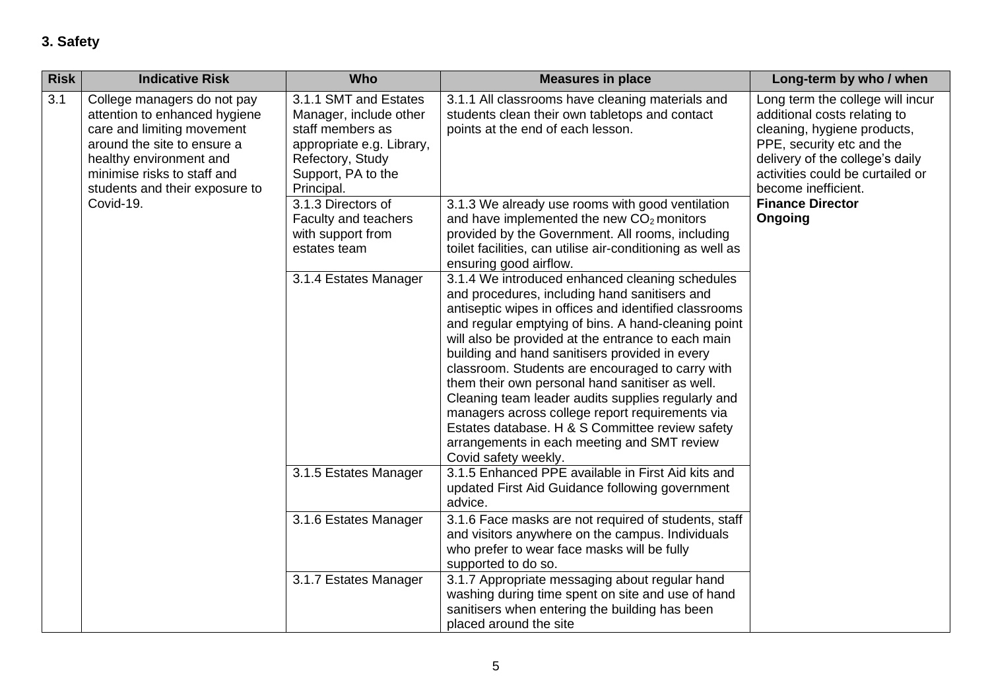# **3. Safety**

| <b>Risk</b> | <b>Indicative Risk</b>                                                                                                                                                                                                | <b>Who</b>                                                                                                                                               | <b>Measures in place</b>                                                                                                                                                                                                                                                                                                                                                                                                                                                                                                                                                                                                                                           | Long-term by who / when                                                                                                                                                                                                                                          |
|-------------|-----------------------------------------------------------------------------------------------------------------------------------------------------------------------------------------------------------------------|----------------------------------------------------------------------------------------------------------------------------------------------------------|--------------------------------------------------------------------------------------------------------------------------------------------------------------------------------------------------------------------------------------------------------------------------------------------------------------------------------------------------------------------------------------------------------------------------------------------------------------------------------------------------------------------------------------------------------------------------------------------------------------------------------------------------------------------|------------------------------------------------------------------------------------------------------------------------------------------------------------------------------------------------------------------------------------------------------------------|
| 3.1         | College managers do not pay<br>attention to enhanced hygiene<br>care and limiting movement<br>around the site to ensure a<br>healthy environment and<br>minimise risks to staff and<br>students and their exposure to | 3.1.1 SMT and Estates<br>Manager, include other<br>staff members as<br>appropriate e.g. Library,<br>Refectory, Study<br>Support, PA to the<br>Principal. | 3.1.1 All classrooms have cleaning materials and<br>students clean their own tabletops and contact<br>points at the end of each lesson.                                                                                                                                                                                                                                                                                                                                                                                                                                                                                                                            | Long term the college will incur<br>additional costs relating to<br>cleaning, hygiene products,<br>PPE, security etc and the<br>delivery of the college's daily<br>activities could be curtailed or<br>become inefficient.<br><b>Finance Director</b><br>Ongoing |
| Covid-19.   |                                                                                                                                                                                                                       | 3.1.3 Directors of<br>Faculty and teachers<br>with support from<br>estates team                                                                          | 3.1.3 We already use rooms with good ventilation<br>and have implemented the new $CO2$ monitors<br>provided by the Government. All rooms, including<br>toilet facilities, can utilise air-conditioning as well as<br>ensuring good airflow.                                                                                                                                                                                                                                                                                                                                                                                                                        |                                                                                                                                                                                                                                                                  |
|             |                                                                                                                                                                                                                       | 3.1.4 Estates Manager                                                                                                                                    | 3.1.4 We introduced enhanced cleaning schedules<br>and procedures, including hand sanitisers and<br>antiseptic wipes in offices and identified classrooms<br>and regular emptying of bins. A hand-cleaning point<br>will also be provided at the entrance to each main<br>building and hand sanitisers provided in every<br>classroom. Students are encouraged to carry with<br>them their own personal hand sanitiser as well.<br>Cleaning team leader audits supplies regularly and<br>managers across college report requirements via<br>Estates database. H & S Committee review safety<br>arrangements in each meeting and SMT review<br>Covid safety weekly. |                                                                                                                                                                                                                                                                  |
|             |                                                                                                                                                                                                                       | 3.1.5 Estates Manager                                                                                                                                    | 3.1.5 Enhanced PPE available in First Aid kits and<br>updated First Aid Guidance following government<br>advice.                                                                                                                                                                                                                                                                                                                                                                                                                                                                                                                                                   |                                                                                                                                                                                                                                                                  |
|             |                                                                                                                                                                                                                       | 3.1.6 Estates Manager                                                                                                                                    | 3.1.6 Face masks are not required of students, staff<br>and visitors anywhere on the campus. Individuals<br>who prefer to wear face masks will be fully<br>supported to do so.                                                                                                                                                                                                                                                                                                                                                                                                                                                                                     |                                                                                                                                                                                                                                                                  |
|             |                                                                                                                                                                                                                       | 3.1.7 Estates Manager                                                                                                                                    | 3.1.7 Appropriate messaging about regular hand<br>washing during time spent on site and use of hand<br>sanitisers when entering the building has been<br>placed around the site                                                                                                                                                                                                                                                                                                                                                                                                                                                                                    |                                                                                                                                                                                                                                                                  |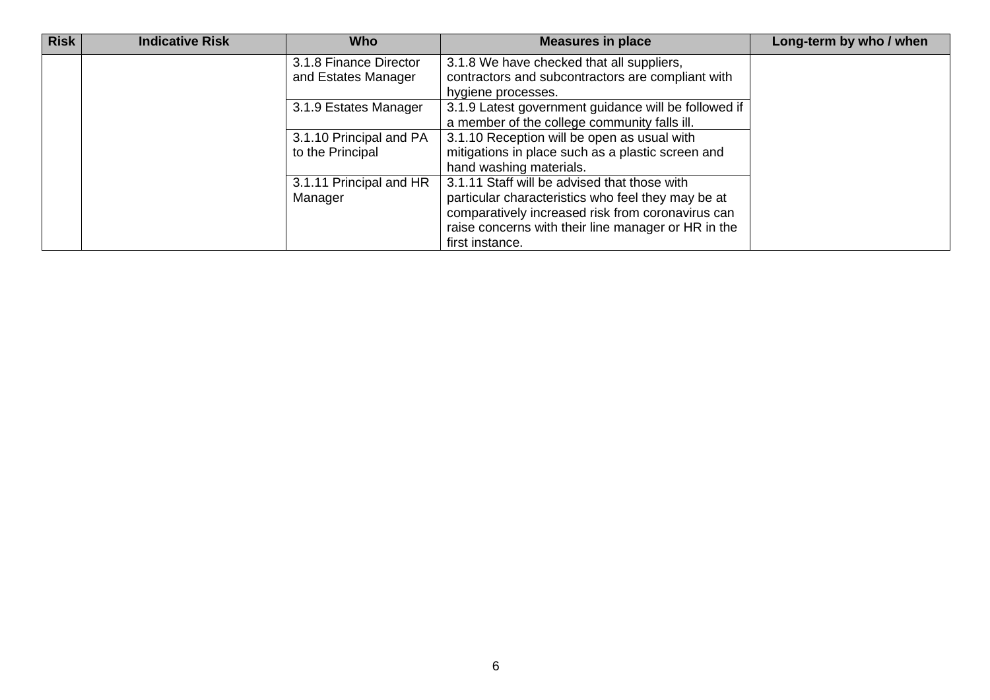| <b>Risk</b> | <b>Indicative Risk</b> | <b>Who</b>              | <b>Measures in place</b>                             | Long-term by who / when |
|-------------|------------------------|-------------------------|------------------------------------------------------|-------------------------|
|             |                        | 3.1.8 Finance Director  | 3.1.8 We have checked that all suppliers,            |                         |
|             |                        | and Estates Manager     | contractors and subcontractors are compliant with    |                         |
|             |                        |                         | hygiene processes.                                   |                         |
|             |                        | 3.1.9 Estates Manager   | 3.1.9 Latest government guidance will be followed if |                         |
|             |                        |                         | a member of the college community falls ill.         |                         |
|             |                        | 3.1.10 Principal and PA | 3.1.10 Reception will be open as usual with          |                         |
|             |                        | to the Principal        | mitigations in place such as a plastic screen and    |                         |
|             |                        |                         | hand washing materials.                              |                         |
|             |                        | 3.1.11 Principal and HR | 3.1.11 Staff will be advised that those with         |                         |
|             |                        | Manager                 | particular characteristics who feel they may be at   |                         |
|             |                        |                         | comparatively increased risk from coronavirus can    |                         |
|             |                        |                         | raise concerns with their line manager or HR in the  |                         |
|             |                        |                         | first instance.                                      |                         |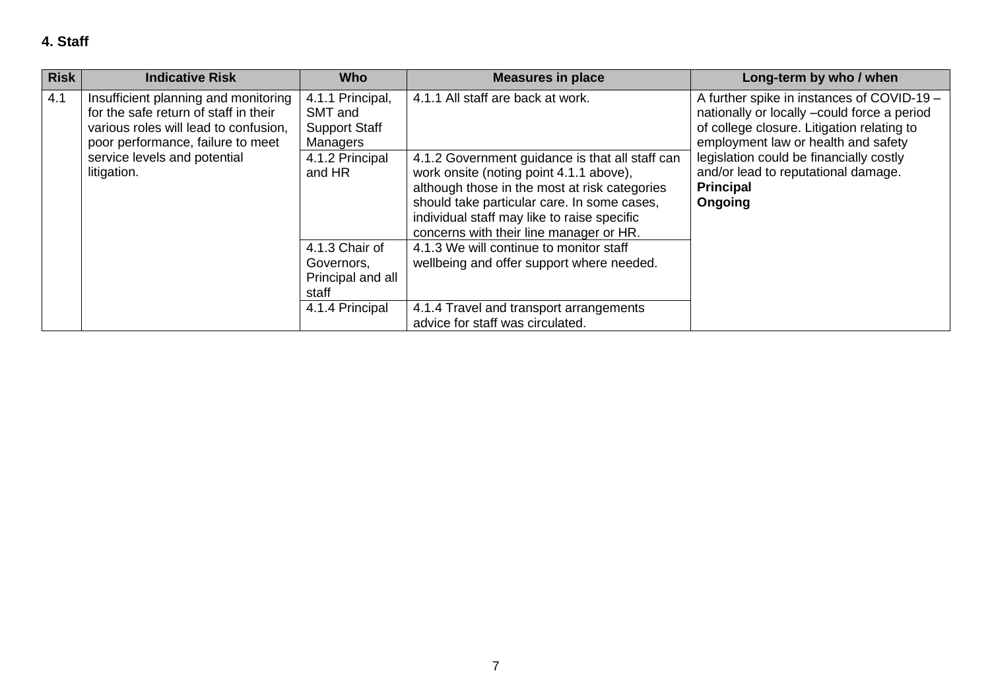| <b>Risk</b> | <b>Indicative Risk</b>                                                                                                                                      | <b>Who</b>                                                                                                                                                                                                                                                                           | <b>Measures in place</b>                                                                                      | Long-term by who / when                                                                                                                                                        |
|-------------|-------------------------------------------------------------------------------------------------------------------------------------------------------------|--------------------------------------------------------------------------------------------------------------------------------------------------------------------------------------------------------------------------------------------------------------------------------------|---------------------------------------------------------------------------------------------------------------|--------------------------------------------------------------------------------------------------------------------------------------------------------------------------------|
| 4.1         | Insufficient planning and monitoring<br>for the safe return of staff in their<br>various roles will lead to confusion,<br>poor performance, failure to meet | 4.1.1 Principal,<br>SMT and<br><b>Support Staff</b><br><b>Managers</b>                                                                                                                                                                                                               | 4.1.1 All staff are back at work.                                                                             | A further spike in instances of COVID-19 -<br>nationally or locally -could force a period<br>of college closure. Litigation relating to<br>employment law or health and safety |
|             | service levels and potential<br>4.1.2 Principal<br>litigation.<br>and HR                                                                                    | 4.1.2 Government guidance is that all staff can<br>work onsite (noting point 4.1.1 above),<br>although those in the most at risk categories<br>should take particular care. In some cases,<br>individual staff may like to raise specific<br>concerns with their line manager or HR. | legislation could be financially costly<br>and/or lead to reputational damage.<br><b>Principal</b><br>Ongoing |                                                                                                                                                                                |
|             |                                                                                                                                                             | 4.1.3 Chair of<br>Governors,<br>Principal and all<br>staff                                                                                                                                                                                                                           | 4.1.3 We will continue to monitor staff<br>wellbeing and offer support where needed.                          |                                                                                                                                                                                |
|             |                                                                                                                                                             | 4.1.4 Principal                                                                                                                                                                                                                                                                      | 4.1.4 Travel and transport arrangements<br>advice for staff was circulated.                                   |                                                                                                                                                                                |